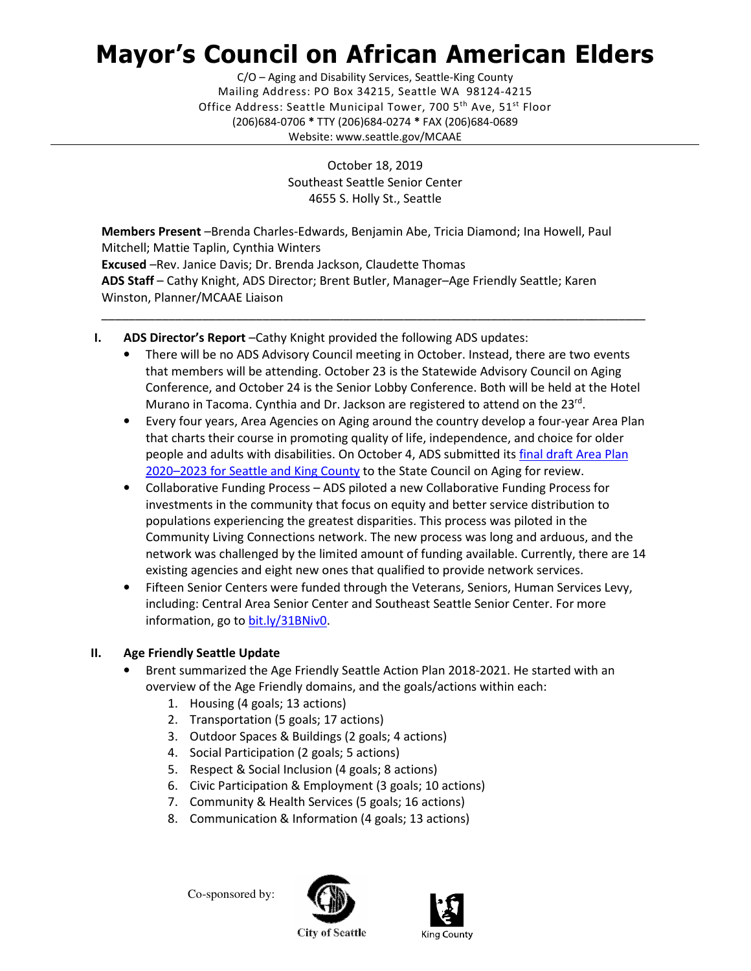# Mayor's Council on African American Elders

 Mailing Address: PO Box 34215, Seattle WA 98124-4215 Office Address: Seattle Municipal Tower, 700 5<sup>th</sup> Ave, 51<sup>st</sup> Floor (206)684-0706 \* TTY (206)684-0274 \* FAX (206)684-0689 C/O – Aging and Disability Services, Seattle-King County Website: <www.seattle.gov/MCAAE>

> October 18, 2019 Southeast Seattle Senior Center 4655 S. Holly St., Seattle

 Members Present –Brenda Charles-Edwards, Benjamin Abe, Tricia Diamond; Ina Howell, Paul Mitchell; Mattie Taplin, Cynthia Winters Excused –Rev. Janice Davis; Dr. Brenda Jackson, Claudette Thomas ADS Staff - Cathy Knight, ADS Director; Brent Butler, Manager-Age Friendly Seattle; Karen Winston, Planner/MCAAE Liaison

- I. ADS Director's Report-Cathy Knight provided the following ADS updates:
	- • There will be no ADS Advisory Council meeting in October. Instead, there are two events that members will be attending. October 23 is the Statewide Advisory Council on Aging Conference, and October 24 is the Senior Lobby Conference. Both will be held at the Hotel Murano in Tacoma. Cynthia and Dr. Jackson are registered to attend on the 23rd.

\_\_\_\_\_\_\_\_\_\_\_\_\_\_\_\_\_\_\_\_\_\_\_\_\_\_\_\_\_\_\_\_\_\_\_\_\_\_\_\_\_\_\_\_\_\_\_\_\_\_\_\_\_\_\_\_\_\_\_\_\_\_\_\_\_\_\_\_\_\_\_\_\_\_\_\_\_\_\_\_\_

- • Every four years, Area Agencies on Aging around the country develop a four-year Area Plan that charts their course in promoting quality of life, independence, and choice for older people and adults with disabilities. On October 4, ADS submitted its final draft Area Plan 2020-2023 for Seattle and King County to the State Council on Aging for review.
- • Collaborative Funding Process ADS piloted a new Collaborative Funding Process for investments in the community that focus on equity and better service distribution to populations experiencing the greatest disparities. This process was piloted in the Community Living Connections network. The new process was long and arduous, and the network was challenged by the limited amount of funding available. Currently, there are 14 existing agencies and eight new ones that qualified to provide network services.
- • Fifteen Senior Centers were funded through the Veterans, Seniors, Human Services Levy, including: Central Area Senior Center and Southeast Seattle Senior Center. For more information, go to bit.ly/31BNiv0.

# II. Age Friendly Seattle Update

- • Brent summarized the Age Friendly Seattle Action Plan 2018-2021. He started with an overview of the Age Friendly domains, and the goals/actions within each:
	- 1. Housing (4 goals; 13 actions)
	- 2. Transportation (5 goals; 17 actions)
	- 3. Outdoor Spaces & Buildings (2 goals; 4 actions)
	- 4. Social Participation (2 goals; 5 actions)
	- 5. Respect & Social Inclusion (4 goals; 8 actions)
	- 6. Civic Participation & Employment (3 goals; 10 actions)
	- 7. Community & Health Services (5 goals; 16 actions)
	- 8. Communication & Information (4 goals; 13 actions)

Co-sponsored by:





**City of Seattle**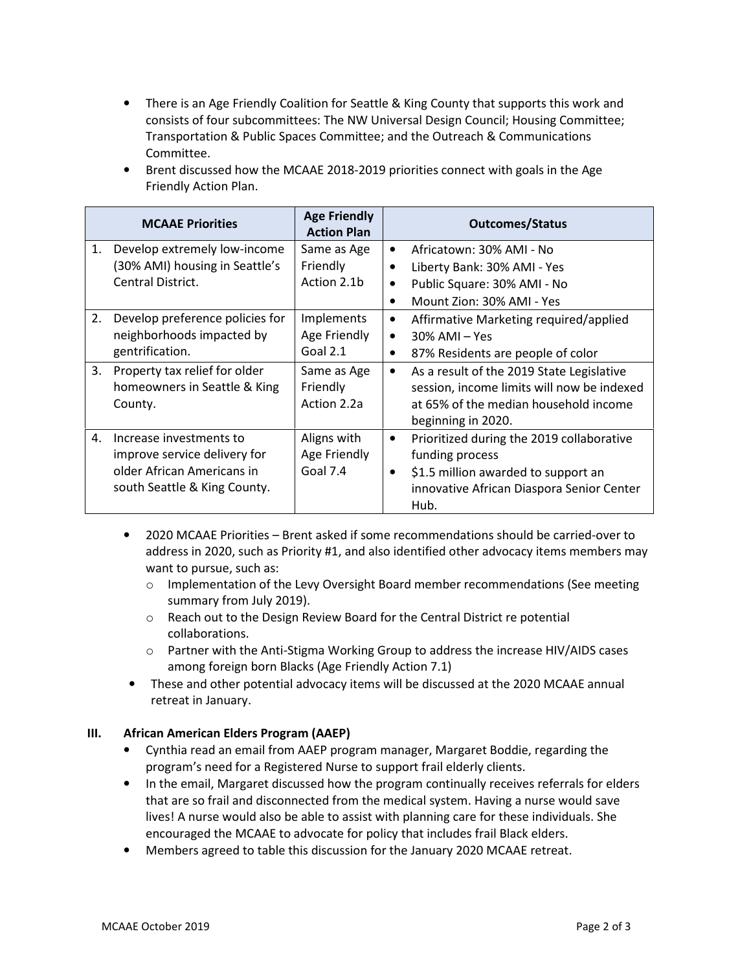• There is an Age Friendly Coalition for Seattle & King County that supports this work and consists of four subcommittees: The NW Universal Design Council; Housing Committee; Transportation & Public Spaces Committee; and the Outreach & Communications Committee.

|    | <b>MCAAE Priorities</b>                                                                                               | <b>Age Friendly</b><br><b>Action Plan</b> | <b>Outcomes/Status</b>                                                                                                                                                             |
|----|-----------------------------------------------------------------------------------------------------------------------|-------------------------------------------|------------------------------------------------------------------------------------------------------------------------------------------------------------------------------------|
| 1. | Develop extremely low-income<br>(30% AMI) housing in Seattle's<br>Central District.                                   | Same as Age<br>Friendly<br>Action 2.1b    | Africatown: 30% AMI - No<br>$\bullet$<br>Liberty Bank: 30% AMI - Yes<br>$\bullet$<br>Public Square: 30% AMI - No<br>$\bullet$<br>Mount Zion: 30% AMI - Yes<br>٠                    |
| 2. | Develop preference policies for<br>neighborhoods impacted by<br>gentrification.                                       | Implements<br>Age Friendly<br>Goal $2.1$  | Affirmative Marketing required/applied<br>$\bullet$<br>$30\%$ AMI – Yes<br>$\bullet$<br>87% Residents are people of color<br>$\bullet$                                             |
| 3. | Property tax relief for older<br>homeowners in Seattle & King<br>County.                                              | Same as Age<br>Friendly<br>Action 2.2a    | As a result of the 2019 State Legislative<br>٠<br>session, income limits will now be indexed<br>at 65% of the median household income<br>beginning in 2020.                        |
| 4. | Increase investments to<br>improve service delivery for<br>older African Americans in<br>south Seattle & King County. | Aligns with<br>Age Friendly<br>Goal 7.4   | Prioritized during the 2019 collaborative<br>$\bullet$<br>funding process<br>\$1.5 million awarded to support an<br>$\bullet$<br>innovative African Diaspora Senior Center<br>Hub. |

 • Brent discussed how the MCAAE 2018-2019 priorities connect with goals in the Age Friendly Action Plan.

- • 2020 MCAAE Priorities Brent asked if some recommendations should be carried-over to address in 2020, such as Priority #1, and also identified other advocacy items members may want to pursue, such as:
	- o Implementation of the Levy Oversight Board member recommendations (See meeting summary from July 2019).
	- o Reach out to the Design Review Board for the Central District re potential collaborations.
	- o Partner with the Anti-Stigma Working Group to address the increase HIV/AIDS cases among foreign born Blacks (Age Friendly Action 7.1)
- • These and other potential advocacy items will be discussed at the 2020 MCAAE annual retreat in January.

## III. African American Elders Program (AAEP)

- • Cynthia read an email from AAEP program manager, Margaret Boddie, regarding the program's need for a Registered Nurse to support frail elderly clients.
- • In the email, Margaret discussed how the program continually receives referrals for elders that are so frail and disconnected from the medical system. Having a nurse would save lives! A nurse would also be able to assist with planning care for these individuals. She encouraged the MCAAE to advocate for policy that includes frail Black elders.
- Members agreed to table this discussion for the January 2020 MCAAE retreat.